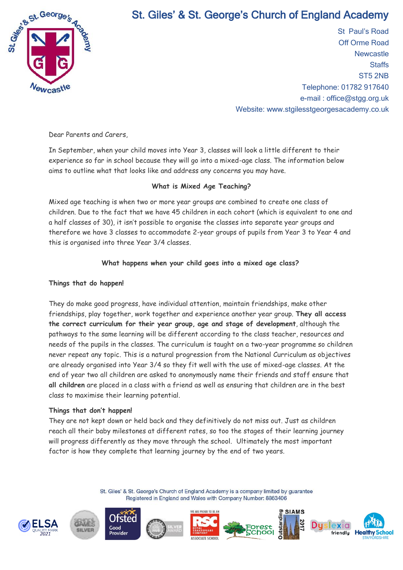

# St. Giles' & St. George's Church of England Academy

St Paul's Road Off Orme Road **Newcastle Staffs** ST5 2NB Telephone: 01782 917640 e-mail : office@stgg.org.uk Website: www.stgilesstgeorgesacademy.co.uk

Dear Parents and Carers,

In September, when your child moves into Year 3, classes will look a little different to their experience so far in school because they will go into a mixed-age class. The information below aims to outline what that looks like and address any concerns you may have.

## **What is Mixed Age Teaching?**

Mixed age teaching is when two or more year groups are combined to create one class of children. Due to the fact that we have 45 children in each cohort (which is equivalent to one and a half classes of 30), it isn't possible to organise the classes into separate year groups and therefore we have 3 classes to accommodate 2-year groups of pupils from Year 3 to Year 4 and this is organised into three Year 3/4 classes.

### **What happens when your child goes into a mixed age class?**

#### **Things that do happen!**

They do make good progress, have individual attention, maintain friendships, make other friendships, play together, work together and experience another year group. **They all access the correct curriculum for their year group, age and stage of development**, although the pathways to the same learning will be different according to the class teacher, resources and needs of the pupils in the classes. The curriculum is taught on a two-year programme so children never repeat any topic. This is a natural progression from the National Curriculum as objectives are already organised into Year 3/4 so they fit well with the use of mixed-age classes. At the end of year two all children are asked to anonymously name their friends and staff ensure that **all children** are placed in a class with a friend as well as ensuring that children are in the best class to maximise their learning potential.

### **Things that don't happen!**

They are not kept down or held back and they definitively do not miss out. Just as children reach all their baby milestones at different rates, so too the stages of their learning journey will progress differently as they move through the school. Ultimately the most important factor is how they complete that learning journey by the end of two years.

> St. Giles' & St. George's Church of England Academy is a company limited by guarantee Registered in England and Wales with Company Number: 8863406